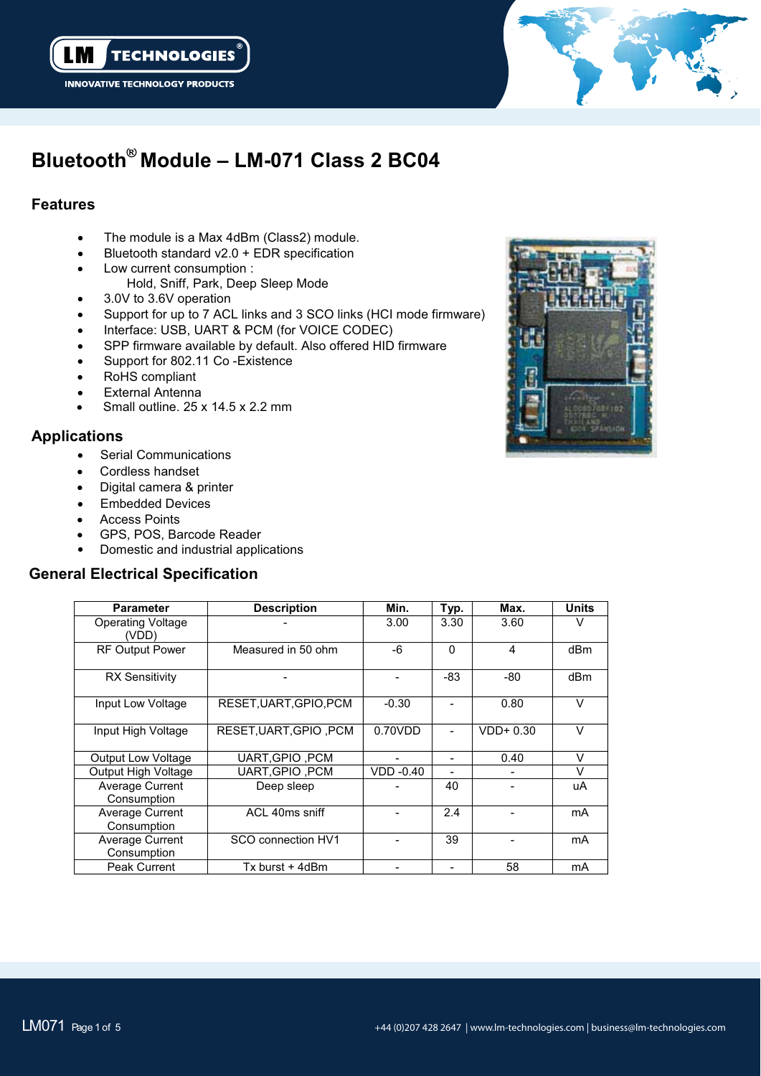



# **Bluetooth® Module – LM-071 Class 2 BC04**

## **Features**

- $\bullet$ The module is a Max 4dBm (Class2) module.
- -Bluetooth standard v2.0 + EDR specification
- - Low current consumption : Hold, Sniff, Park, Deep Sleep Mode
- $\bullet$ 3.0V to 3.6V operation
- -Support for up to 7 ACL links and 3 SCO links (HCI mode firmware)
- -Interface: USB, UART & PCM (for VOICE CODEC)
- $\bullet$ SPP firmware available by default. Also offered HID firmware
- -Support for 802.11 Co -Existence
- -RoHS compliant
- -External Antenna .
- -Small outline. 25 x 14.5 x 2.2 mm

## **Applications**

- $\bullet$ Serial Communications
- -Cordless handset
- -Digital camera & printer
- -Embedded Devices
- -Access Points
- $\bullet$ GPS, POS, Barcode Reader
- -Domestic and industrial applications

## **General Electrical Specification**

| <b>Parameter</b>                      | <b>Description</b>     | Min.             | Typ.     | Max.           | <b>Units</b>    |  |  |
|---------------------------------------|------------------------|------------------|----------|----------------|-----------------|--|--|
| Operating Voltage<br>(VDD)            |                        | 3.00             | 3.30     | 3.60           | $\vee$          |  |  |
| <b>RF Output Power</b>                | Measured in 50 ohm     | -6               | $\Omega$ | $\overline{4}$ | dB <sub>m</sub> |  |  |
| <b>RX Sensitivity</b>                 |                        |                  | -83      | -80            | dBm             |  |  |
| Input Low Voltage                     | RESET, UART, GPIO, PCM | $-0.30$          |          | 0.80           | V               |  |  |
| Input High Voltage                    | RESET.UART.GPIO.PCM    | 0.70VDD          |          | $VDD+0.30$     | $\vee$          |  |  |
| <b>Output Low Voltage</b>             | <b>UART.GPIO .PCM</b>  |                  |          | 0.40           | V               |  |  |
| Output High Voltage                   | UART, GPIO, PCM        | <b>VDD -0.40</b> |          |                | $\vee$          |  |  |
| <b>Average Current</b><br>Consumption | Deep sleep             |                  | 40       |                | uA              |  |  |
| Average Current<br>Consumption        | ACL 40ms sniff         |                  | 2.4      |                | mA              |  |  |
| Average Current<br>Consumption        | SCO connection HV1     |                  | 39       |                | mA              |  |  |
| Peak Current                          | Tx burst + 4dBm        |                  |          | 58             | mA              |  |  |

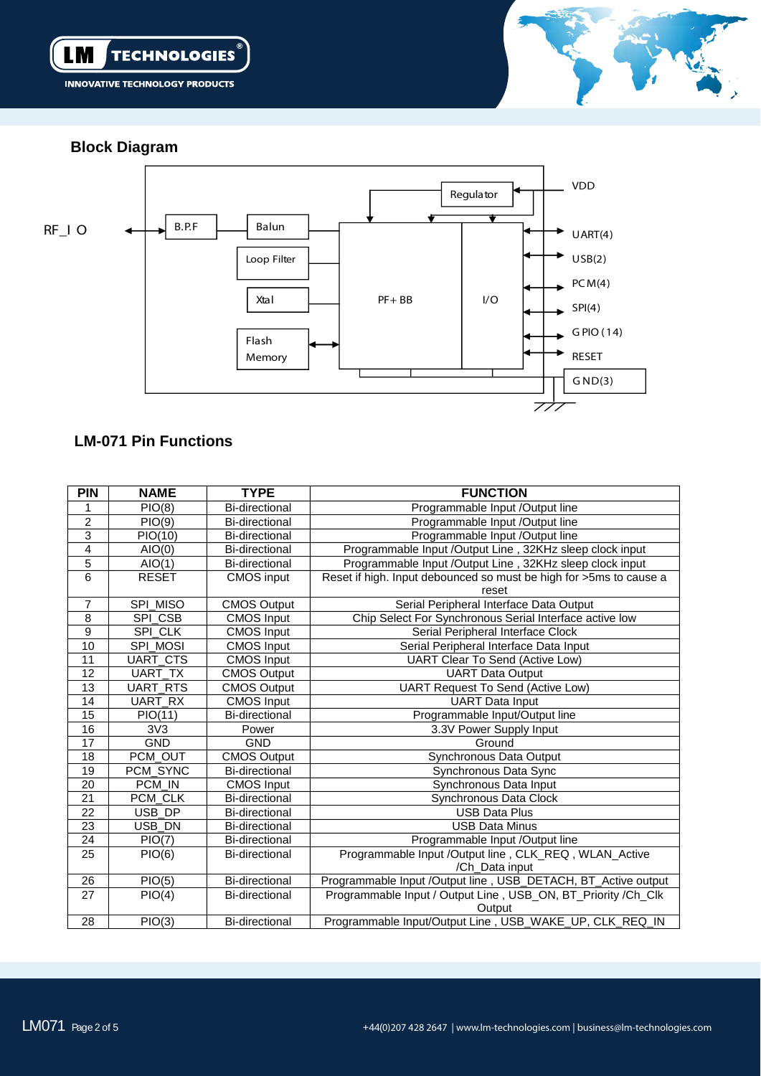



**Block Diagram**



# **LM-071 Pin Functions**

| <b>PIN</b>       | <b>NAME</b>     | <b>TYPE</b>           | <b>FUNCTION</b>                                                    |  |
|------------------|-----------------|-----------------------|--------------------------------------------------------------------|--|
|                  | PIO(8)          | <b>Bi-directional</b> | Programmable Input /Output line                                    |  |
| 2                | PIO(9)          | <b>Bi-directional</b> | Programmable Input /Output line                                    |  |
| 3                | PIO(10)         | <b>Bi-directional</b> | Programmable Input /Output line                                    |  |
| 4                | AIO(0)          | <b>Bi-directional</b> | Programmable Input /Output Line, 32KHz sleep clock input           |  |
| $\overline{5}$   | AIO(1)          | <b>Bi-directional</b> | Programmable Input /Output Line, 32KHz sleep clock input           |  |
| 6                | <b>RESET</b>    | <b>CMOS</b> input     | Reset if high. Input debounced so must be high for >5ms to cause a |  |
|                  |                 |                       | reset                                                              |  |
| $\overline{7}$   | SPI_MISO        | <b>CMOS Output</b>    | Serial Peripheral Interface Data Output                            |  |
| 8                | SPI_CSB         | <b>CMOS Input</b>     | Chip Select For Synchronous Serial Interface active low            |  |
| $\boldsymbol{9}$ | SPI_CLK         | <b>CMOS</b> Input     | Serial Peripheral Interface Clock                                  |  |
| 10               | SPI_MOSI        | <b>CMOS Input</b>     | Serial Peripheral Interface Data Input                             |  |
| 11               | UART_CTS        | <b>CMOS Input</b>     | <b>UART Clear To Send (Active Low)</b>                             |  |
| 12               | UART_TX         | <b>CMOS Output</b>    | <b>UART Data Output</b>                                            |  |
| 13               | <b>UART_RTS</b> | <b>CMOS Output</b>    | <b>UART Request To Send (Active Low)</b>                           |  |
| 14               | UART RX         | <b>CMOS Input</b>     | <b>UART</b> Data Input                                             |  |
| 15               | PIO(11)         | <b>Bi-directional</b> | Programmable Input/Output line                                     |  |
| 16               | 3V3             | Power                 | 3.3V Power Supply Input                                            |  |
| $\overline{17}$  | <b>GND</b>      | <b>GND</b>            | Ground                                                             |  |
| 18               | PCM_OUT         | <b>CMOS Output</b>    | Synchronous Data Output                                            |  |
| 19               | PCM_SYNC        | <b>Bi-directional</b> | Synchronous Data Sync                                              |  |
| 20               | PCM IN          | <b>CMOS Input</b>     | Synchronous Data Input                                             |  |
| $\overline{21}$  | PCM CLK         | <b>Bi-directional</b> | Synchronous Data Clock                                             |  |
| 22               | USB_DP          | <b>Bi-directional</b> | <b>USB Data Plus</b>                                               |  |
| $\overline{23}$  | USB DN          | <b>Bi-directional</b> | <b>USB Data Minus</b>                                              |  |
| 24               | PIO(7)          | Bi-directional        | Programmable Input /Output line                                    |  |
| 25               | PIO(6)          | <b>Bi-directional</b> | Programmable Input /Output line, CLK_REQ, WLAN_Active              |  |
|                  |                 |                       | /Ch_Data input                                                     |  |
| 26               | PIO(5)          | <b>Bi-directional</b> | Programmable Input /Output line, USB_DETACH, BT_Active output      |  |
| 27               | PIO(4)          | <b>Bi-directional</b> | Programmable Input / Output Line, USB_ON, BT_Priority /Ch_Clk      |  |
|                  |                 |                       | Output                                                             |  |
| 28               | PIO(3)          | <b>Bi-directional</b> | Programmable Input/Output Line, USB_WAKE_UP, CLK_REQ_IN            |  |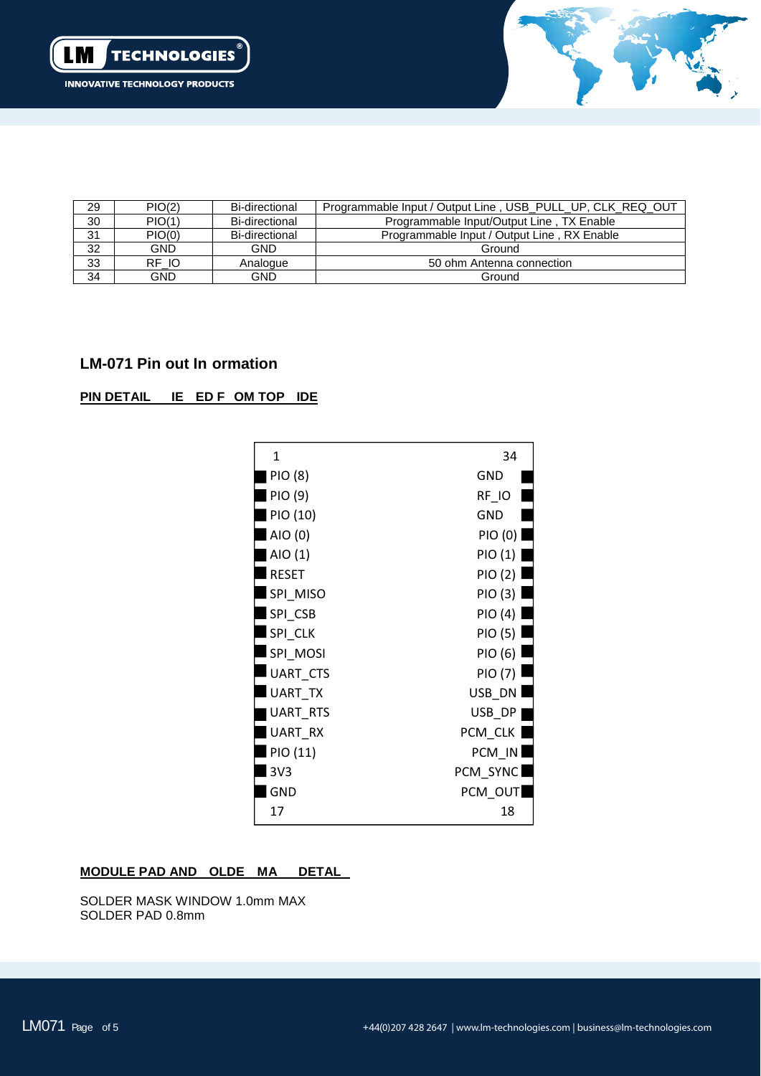



| 29              | PIO(2)     | Bi-directional | Programmable Input / Output Line, USB PULL UP, CLK REQ OUT |
|-----------------|------------|----------------|------------------------------------------------------------|
| 30              | PIO(1)     | Bi-directional | Programmable Input/Output Line, TX Enable                  |
| 31              | PIO(0)     | Bi-directional | Programmable Input / Output Line, RX Enable                |
| $\frac{32}{33}$ | <b>GND</b> | <b>GND</b>     | Ground                                                     |
|                 | RF IO      | Analogue       | 50 ohm Antenna connection                                  |
| 34              | GND        | GND.           | Ground                                                     |

## **LM-071 Pin out In ormation**

#### **PIN DETAIL IE ED F OM TOP IDE**



#### **MODULE PAD AND OLDE MA DETAL**

SOLDER MASK WINDOW 1.0mm MAX SOLDER PAD 0.8mm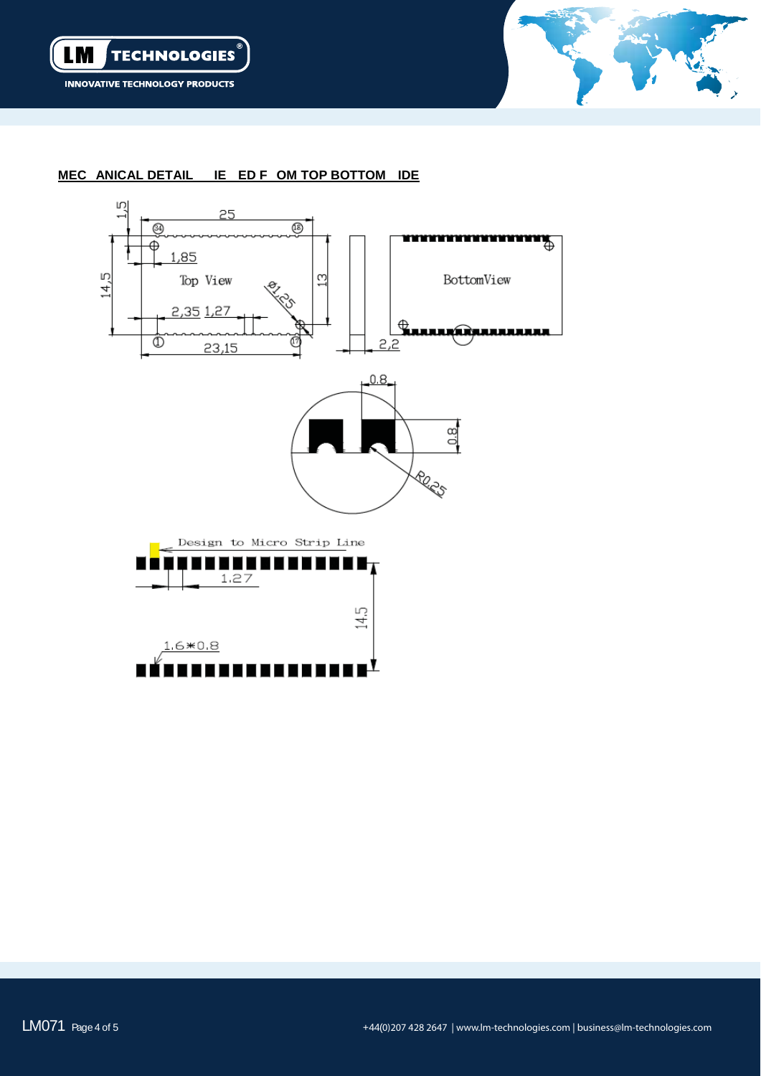



#### **MEC ANICAL DETAIL IE ED F OM TOP BOTTOM IDE**